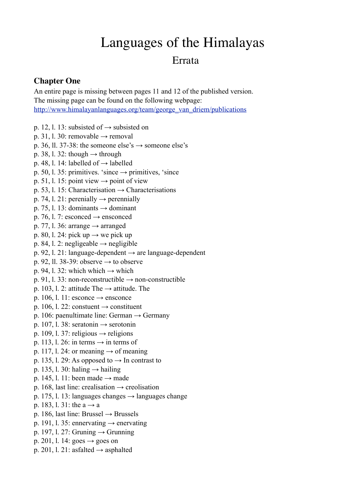# Languages of the Himalayas

# Errata

# **Chapter One**

An entire page is missing between pages 11 and 12 of the published version. The missing page can be found on the following webpage: [http://www.himalayanlanguages.org/team/george\\_van\\_driem/publications](http://www.himalayanlanguages.org/team/george_van_driem/publications)

- p. 12, l. 13: subsisted of  $\rightarrow$  subsisted on
- p. 31, l. 30: removable  $\rightarrow$  removal
- p. 36, ll. 37-38: the someone else's  $\rightarrow$  someone else's
- p. 38, l. 32: though  $\rightarrow$  through
- p. 48, l. 14: labelled of  $\rightarrow$  labelled
- p. 50, l. 35: primitives. 'since  $\rightarrow$  primitives, 'since
- p. 51, 1. 15: point view  $\rightarrow$  point of view
- p. 53, l. 15: Characterisation  $\rightarrow$  Characterisations
- p. 74, l. 21: perenially  $\rightarrow$  perennially
- p. 75, l. 13: dominants  $\rightarrow$  dominant
- p. 76, l. 7: esconced  $\rightarrow$  ensconced
- p. 77, l. 36: arrange  $\rightarrow$  arranged
- p. 80, l. 24: pick up  $\rightarrow$  we pick up
- p. 84, l. 2: negligeable  $\rightarrow$  negligible
- p. 92, l. 21: language-dependent  $\rightarrow$  are language-dependent
- p. 92, ll. 38-39: observe  $\rightarrow$  to observe
- p. 94, l. 32: which which  $\rightarrow$  which
- p. 91, 1. 33: non-reconstructible  $\rightarrow$  non-constructible
- p. 103, l. 2: attitude The  $\rightarrow$  attitude. The
- p. 106, l. 11: esconce  $\rightarrow$  ensconce
- p. 106, l. 22: constuent  $\rightarrow$  constituent
- p. 106: paenultimate line: German  $\rightarrow$  Germany
- p. 107, l. 38: seratonin  $\rightarrow$  serotonin
- p. 109, l. 37: religious  $\rightarrow$  religions
- p. 113, l. 26: in terms  $\rightarrow$  in terms of
- p. 117, l. 24: or meaning  $\rightarrow$  of meaning
- p. 135, l. 29: As opposed to  $\rightarrow$  In contrast to
- p. 135, l. 30: haling  $\rightarrow$  hailing
- p. 145, l. 11: been made  $\rightarrow$  made
- p. 168, last line: crealisation  $\rightarrow$  creolisation
- p. 175, l. 13: languages changes  $\rightarrow$  languages change
- p. 183, l. 31: the  $a \rightarrow a$
- p. 186, last line: Brussel  $\rightarrow$  Brussels
- p. 191, l. 35: ennervating  $\rightarrow$  enervating
- p. 197, l. 27: Grunning  $\rightarrow$  Grunning
- p. 201, l. 14: goes  $\rightarrow$  goes on
- p. 201, l. 21: asfalted  $\rightarrow$  asphalted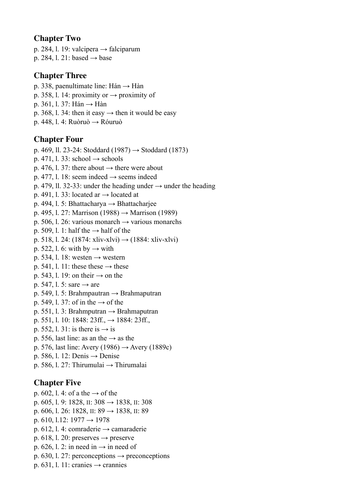#### **Chapter Two**

p. 284, l. 19: valcipera  $\rightarrow$  falciparum

p. 284, l. 21: based  $\rightarrow$  base

## **Chapter Three**

- p. 338, paenultimate line: Hán  $\rightarrow$  Hàn
- p. 358, l. 14: proximity or  $\rightarrow$  proximity of
- p. 361, l. 37: Hán → Hàn
- p. 368, l. 34: then it easy  $\rightarrow$  then it would be easy
- p. 448, l. 4: Ruòruò  $\rightarrow$  Róuruò

### **Chapter Four**

p. 469, ll. 23-24: Stoddard (1987) → Stoddard (1873) p. 471, l. 33: school  $\rightarrow$  schools p. 476, l. 37: there about  $\rightarrow$  there were about p. 477, l. 18: seem indeed  $\rightarrow$  seems indeed p. 479, ll. 32-33: under the heading under  $\rightarrow$  under the heading p. 491, l. 33: located ar  $\rightarrow$  located at p. 494, l. 5: Bhattacharya  $\rightarrow$  Bhattacharjee p. 495, 1. 27: Marrison (1988) → Marrison (1989) p. 506, l. 26: various monarch  $\rightarrow$  various monarchs p. 509, l. 1: half the  $\rightarrow$  half of the p. 518, l. 24: (1874: xliv-xlvi)  $\rightarrow$  (1884: xliv-xlvi) p. 522, l. 6: with by  $\rightarrow$  with p. 534, l. 18: westen  $\rightarrow$  western p. 541, l. 11: these these  $\rightarrow$  these p. 543, l. 19: on their  $\rightarrow$  on the p. 547, l. 5: sare  $\rightarrow$  are p. 549, l. 5: Brahmpautran  $\rightarrow$  Brahmaputran p. 549, l. 37: of in the  $\rightarrow$  of the p. 551, l. 3: Brahmputran  $\rightarrow$  Brahmaputran p. 551, l. 10: 1848:  $23ff. \rightarrow 1884$ :  $23ff.$ p. 552, l. 31: is there is  $\rightarrow$  is p. 556, last line: as an the  $\rightarrow$  as the p. 576, last line: Avery (1986)  $\rightarrow$  Avery (1889c) p. 586, l. 12: Denis  $\rightarrow$  Denise p. 586, l. 27: Thirumulai → Thirumalai **Chapter Five** p. 602, l. 4: of a the  $\rightarrow$  of the p. 605, 1. 9: 1828, II: 308 → 1838, II: 308

- p. 606, l. 26: 1828, ll. 89  $\rightarrow$  1838, ll. 89
- p. 610, 1.12:  $1977 \rightarrow 1978$
- p. 612, l. 4: comraderie  $\rightarrow$  camaraderie
- p. 618, l. 20: preserves  $\rightarrow$  preserve
- p. 626, l. 2: in need in  $\rightarrow$  in need of
- p. 630, l. 27: perconceptions  $\rightarrow$  preconceptions
- p. 631, l. 11: cranies  $\rightarrow$  crannies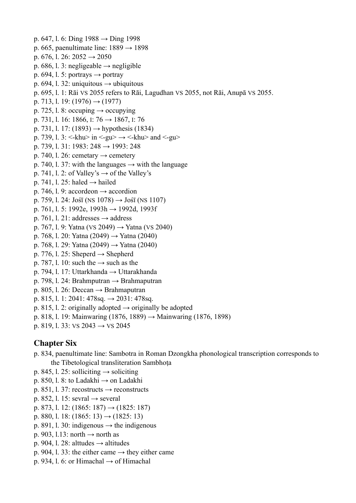p. 647, l. 6: Ding 1988 → Ding 1998 p. 665, paenultimate line:  $1889 \rightarrow 1898$ p. 676, l. 26:  $2052 \rightarrow 2050$ p. 686, l. 3: negligeable  $\rightarrow$  negligible p. 694, l. 5: portrays  $\rightarrow$  portray p. 694, l. 32: uniquitous  $\rightarrow$  ubiquitous p. 695, l. 1: Rāi VS 2055 refers to Rāi, Lagudhan VS 2055, not Rāi, Anupā VS 2055. p. 713, l. 19:  $(1976) \rightarrow (1977)$ p. 725, l. 8: occuping  $\rightarrow$  occupying p. 731, 1. 16: 1866, I: 76 → 1867, I: 76 p. 731, l. 17: (1893) → hypothesis (1834) p. 739, l. 3: <- $k$ hu $>$  in <- $g$ u $>$  $\rightarrow$  <- $k$ hu $>$  and <- $g$ u $>$ p. 739, l. 31: 1983:  $248 \rightarrow 1993$ : 248 p. 740, l. 26: cemetary  $\rightarrow$  cemetery p. 740, l. 37: with the languages  $\rightarrow$  with the language p. 741, l. 2: of Valley's  $\rightarrow$  of the Valley's p. 741, l. 25: haled  $\rightarrow$  hailed p. 746, l. 9: accordeon  $\rightarrow$  accordion p. 759, l. 24: Jośī (NS 1078)  $\rightarrow$  Jośī (NS 1107) p. 761, l. 5: 1992e, 1993h → 1992d, 1993f p. 761, l. 21: addresses  $\rightarrow$  address p. 767, l. 9: Yatna (VS 2049) → Yatna (VS 2040) p. 768, l. 20: Yatna (2049) → Yatna (2040) p. 768, l. 29: Yatna (2049) → Yatna (2040) p. 776, l. 25: Sheperd  $\rightarrow$  Shepherd p. 787, l. 10: such the  $\rightarrow$  such as the p. 794, l. 17: Uttarkhanda → Uttarakhanda p. 798, l. 24: Brahmputran → Brahmaputran p. 805, l. 26: Deccan  $\rightarrow$  Brahmaputran p. 815, l. 1: 2041: 478sq.  $\rightarrow$  2031: 478sq. p. 815, l. 2: originally adopted  $\rightarrow$  originally be adopted p. 818, 1. 19: Mainwaring (1876, 1889) → Mainwaring (1876, 1898)

p. 819, l. 33: VS  $2043 \rightarrow$  VS  $2045$ 

# **Chapter Six**

- p. 834, paenultimate line: Sambotra in Roman Dzongkha phonological transcription corresponds to the Tibetological transliteration Sambhoṭa
- p. 845, l. 25: solliciting  $\rightarrow$  soliciting
- p. 850, l. 8: to Ladakhi  $\rightarrow$  on Ladakhi
- p. 851, l. 37: recostructs  $\rightarrow$  reconstructs
- p. 852, l. 15: sevral  $\rightarrow$  several
- p. 873, l. 12:  $(1865: 187) \rightarrow (1825: 187)$
- p. 880, l. 18:  $(1865: 13) \rightarrow (1825: 13)$
- p. 891, l. 30: indigenous  $\rightarrow$  the indigenous
- p. 903, l.13: north  $\rightarrow$  north as
- p. 904, l. 28: alttudes  $\rightarrow$  altitudes
- p. 904, l. 33: the either came  $\rightarrow$  they either came
- p. 934, l. 6: or Himachal  $\rightarrow$  of Himachal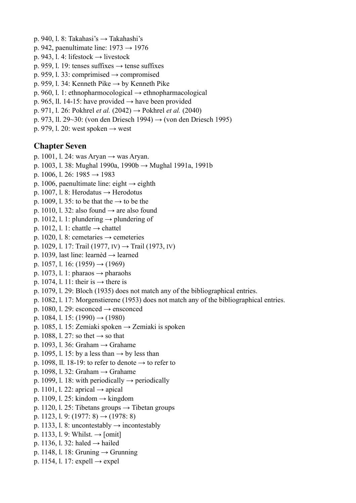- p. 940, l. 8: Takahasi's → Takahashi's
- p. 942, paenultimate line:  $1973 \rightarrow 1976$
- p. 943, l. 4: lifestock  $\rightarrow$  livestock
- p. 959, l. 19: tenses suffixes  $\rightarrow$  tense suffixes
- p. 959, l. 33: comprimised  $\rightarrow$  compromised
- p. 959, l. 34: Kenneth Pike  $\rightarrow$  by Kenneth Pike
- p. 960, l. 1: ethnopharmocological  $\rightarrow$  ethnopharmacological
- p. 965, ll. 14-15: have provided  $\rightarrow$  have been provided
- p. 971, l. 26: Pokhrel *et al.* (2042) → Pokhrel *et al.* (2040)
- p. 973, ll. 29~30: (von den Driesch 1994) → (von den Driesch 1995)
- p. 979, l. 20: west spoken  $\rightarrow$  west

#### **Chapter Seven**

- p. 1001, l. 24: was Aryan  $\rightarrow$  was Aryan.
- p. 1003, 1. 38: Mughal 1990a, 1990b → Mughal 1991a, 1991b
- p. 1006, l. 26: 1985  $\rightarrow$  1983
- p. 1006, paenultimate line: eight  $\rightarrow$  eighth
- p. 1007, l. 8: Herodatus  $\rightarrow$  Herodotus
- p. 1009, 1. 35: to be that the  $\rightarrow$  to be the
- p. 1010, l. 32: also found  $\rightarrow$  are also found
- p. 1012, l. 1: plundering  $\rightarrow$  plundering of
- p. 1012, l. 1: chattle  $\rightarrow$  chattel
- p. 1020, l. 8: cemetaries  $\rightarrow$  cemeteries
- p. 1029, l. 17: Trail (1977, IV) → Trail (1973, IV)
- p. 1039, last line: learnèd → learned
- p. 1057, l. 16:  $(1959) \rightarrow (1969)$
- p. 1073, l. 1: pharaos  $\rightarrow$  pharaohs
- p. 1074, l. 11: their is  $\rightarrow$  there is
- p. 1079, l. 29: Bloch (1935) does not match any of the bibliographical entries.
- p. 1082, l. 17: Morgenstierene (1953) does not match any of the bibliographical entries.
- p. 1080, l. 29: esconced  $\rightarrow$  ensconced
- p. 1084, l. 15:  $(1990) \rightarrow (1980)$
- p. 1085, l. 15: Zemiaki spoken  $\rightarrow$  Zemiaki is spoken
- p. 1088, l. 27: so thet  $\rightarrow$  so that
- p. 1093, l. 36: Graham  $\rightarrow$  Grahame
- p. 1095, l. 15: by a less than  $\rightarrow$  by less than
- p. 1098, ll. 18-19: to refer to denote  $\rightarrow$  to refer to
- p. 1098, l. 32: Graham  $\rightarrow$  Grahame
- p. 1099, l. 18: with periodically  $\rightarrow$  periodically
- p. 1101, l. 22: aprical  $\rightarrow$  apical
- p. 1109, l. 25: kindom  $\rightarrow$  kingdom
- p. 1120, l. 25: Tibetans groups  $\rightarrow$  Tibetan groups
- p. 1123, l. 9: (1977: 8)  $\rightarrow$  (1978: 8)
- p. 1133, l. 8: uncontestably  $\rightarrow$  incontestably
- p. 1133, l. 9: Whilst.  $\rightarrow$  [omit]
- p. 1136, l. 32: haled  $\rightarrow$  hailed
- p. 1148, l. 18: Gruning  $\rightarrow$  Grunning
- p. 1154, l. 17: expell  $\rightarrow$  expel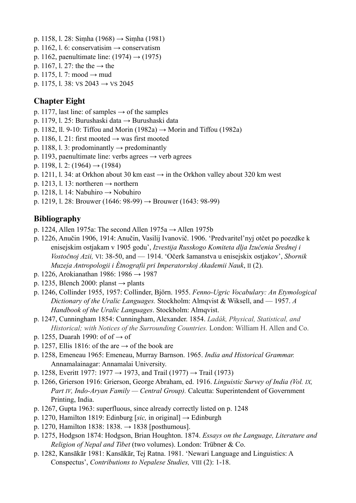- p. 1158, l. 28: Simha (1968) → Simha (1981)
- p. 1162, l. 6: conservatisim  $\rightarrow$  conservatism
- p. 1162, paenultimate line:  $(1974) \rightarrow (1975)$
- p. 1167, l. 27: the the  $\rightarrow$  the
- p. 1175, l. 7: mood  $\rightarrow$  mud
- p. 1175, l. 38: VS  $2043 \rightarrow$  VS  $2045$

#### **Chapter Eight**

- p. 1177, last line: of samples  $\rightarrow$  of the samples
- p. 1179, l. 25: Burushaski data → Burushaski data
- p. 1182, ll. 9-10: Tiffou and Morin (1982a)  $\rightarrow$  Morin and Tiffou (1982a)
- p. 1186, l. 21: first mooted  $\rightarrow$  was first mooted
- p. 1188, l. 3: prodominantly  $\rightarrow$  predominantly
- p. 1193, paenultimate line: verbs agrees  $\rightarrow$  verb agrees
- p. 1198, l. 2:  $(1964) \rightarrow (1984)$
- p. 1211, l. 34: at Orkhon about 30 km east  $\rightarrow$  in the Orkhon valley about 320 km west
- p. 1213, l. 13: northeren  $\rightarrow$  northern
- p. 1218, l. 14: Nabuhiro  $\rightarrow$  Nobuhiro
- p. 1219, l. 28: Brouwer (1646: 98-99)  $\rightarrow$  Brouwer (1643: 98-99)

#### **Bibliography**

- p. 1224, Allen 1975a: The second Allen 1975a  $\rightarrow$  Allen 1975b
- p. 1226, Anučin 1906, 1914: Anučin, Vasilij Ivanovič. 1906. 'Predvaritel'nyj otčet po poezdke k enisejskim ostjakam v 1905 godu', *Izvestija Russkogo Komiteta dlja Izučenia Srednej i Vostočnoj Azii,* VI: 38-50, and — 1914. 'Očerk šamanstva u enisejskix ostjakov', *Sbornik Muzeja Antropologii i Ètnografii pri Imperatorskoj Akademii Nauk*, II (2).
- p. 1226, Arokianathan 1986: 1986 → 1987
- p. 1235, Blench 2000: planst  $\rightarrow$  plants
- p. 1246, Collinder 1955, 1957: Collinder, Björn. 1955. *Fenno-Ugric Vocabulary: An Etymological Dictionary of the Uralic Languages.* Stockholm: Almqvist & Wiksell, and — 1957. *A Handbook of the Uralic Languages*. Stockholm: Almqvist.
- p. 1247, Cunningham 1854: Cunningham, Alexander. 1854. *Ladák, Physical, Statistical, and Historical; with Notices of the Surrounding Countries.* London: William H. Allen and Co.
- p. 1255, Duarah 1990: of of  $\rightarrow$  of
- p. 1257, Ellis 1816: of the are  $\rightarrow$  of the book are
- p. 1258, Emeneau 1965: Emeneau, Murray Barnson. 1965. *India and Historical Grammar.*  Annamalainagar: Annamalai University.
- p. 1258, Everitt 1977: 1977 → 1973, and Trail (1977) → Trail (1973)
- p. 1266, Grierson 1916: Grierson, George Abraham, ed. 1916. *Linguistic Survey of India (Vol. IX, Part IV, Indo-Aryan Family — Central Group).* Calcutta: Superintendent of Government Printing, India.
- p. 1267, Gupta 1963: superfluous, since already correctly listed on p. 1248
- p. 1270, Hamilton 1819: Edinburg [*sic,* in original] → Edinburgh
- p. 1270, Hamilton 1838: 1838.  $\rightarrow$  1838 [posthumous].
- p. 1275, Hodgson 1874: Hodgson, Brian Houghton. 1874. *Essays on the Language, Literature and Religion of Nepal and Tibet* (two volumes). London: Trübner & Co.
- p. 1282, Kansākār 1981: Kansākār, Tej Ratna. 1981. 'Newari Language and Linguistics: A Conspectus', *Contributions to Nepalese Studies,* VIII (2): 1-18.